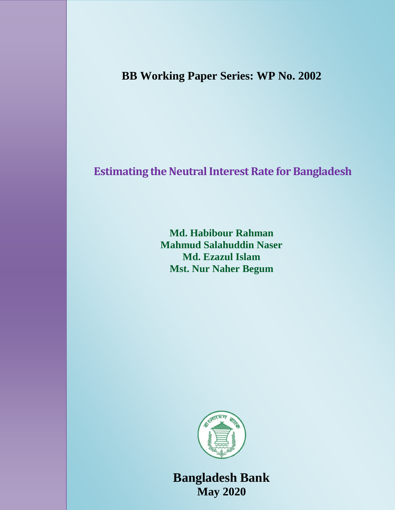**BB Working Paper Series: WP No. 2002**

# **Estimating the Neutral Interest Rate for Bangladesh**

**Md. Habibour Rahman Mahmud Salahuddin Naser Md. Ezazul Islam Mst. Nur Naher Begum**



**Bangladesh Bank May 2020**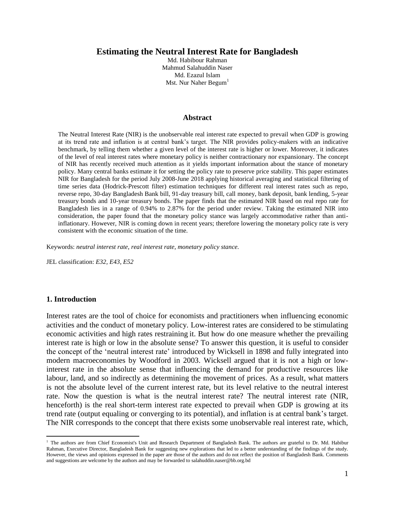## **Estimating the Neutral Interest Rate for Bangladesh**

Md. Habibour Rahman Mahmud Salahuddin Naser Md. Ezazul Islam Mst. Nur Naher Begum<sup>1</sup>

#### **Abstract**

The Neutral Interest Rate (NIR) is the unobservable real interest rate expected to prevail when GDP is growing at its trend rate and inflation is at central bank"s target. The NIR provides policy-makers with an indicative benchmark, by telling them whether a given level of the interest rate is higher or lower. Moreover, it indicates of the level of real interest rates where monetary policy is neither contractionary nor expansionary. The concept of NIR has recently received much attention as it yields important information about the stance of monetary policy. Many central banks estimate it for setting the policy rate to preserve price stability. This paper estimates NIR for Bangladesh for the period July 2008-June 2018 applying historical averaging and statistical filtering of time series data (Hodrick-Prescott filter) estimation techniques for different real interest rates such as repo, reverse repo, 30-day Bangladesh Bank bill, 91-day treasury bill, call money, bank deposit, bank lending, 5-year treasury bonds and 10-year treasury bonds. The paper finds that the estimated NIR based on real repo rate for Bangladesh lies in a range of 0.94% to 2.87% for the period under review. Taking the estimated NIR into consideration, the paper found that the monetary policy stance was largely accommodative rather than antiinflationary. However, NIR is coming down in recent years; therefore lowering the monetary policy rate is very consistent with the economic situation of the time.

Keywords: *neutral interest rate, real interest rate, monetary policy stance.*

JEL classification: *E32, E43, E52*

## **1. Introduction**

 $\overline{a}$ 

Interest rates are the tool of choice for economists and practitioners when influencing economic activities and the conduct of monetary policy. Low-interest rates are considered to be stimulating economic activities and high rates restraining it. But how do one measure whether the prevailing interest rate is high or low in the absolute sense? To answer this question, it is useful to consider the concept of the "neutral interest rate" introduced by Wicksell in 1898 and fully integrated into modern macroeconomies by Woodford in 2003. Wicksell argued that it is not a high or lowinterest rate in the absolute sense that influencing the demand for productive resources like labour, land, and so indirectly as determining the movement of prices. As a result, what matters is not the absolute level of the current interest rate, but its level relative to the neutral interest rate. Now the question is what is the neutral interest rate? The neutral interest rate (NIR, henceforth) is the real short-term interest rate expected to prevail when GDP is growing at its trend rate (output equaling or converging to its potential), and inflation is at central bank"s target. The NIR corresponds to the concept that there exists some unobservable real interest rate, which,

<sup>&</sup>lt;sup>1</sup> The authors are from Chief Economist's Unit and Research Department of Bangladesh Bank. The authors are grateful to Dr. Md. Habibur Rahman, Executive Director, Bangladesh Bank for suggesting new explorations that led to a better understanding of the findings of the study. However, the views and opinions expressed in the paper are those of the authors and do not reflect the position of Bangladesh Bank. Comments and suggestions are welcome by the authors and may be forwarded to salahuddin.naser@bb.org.bd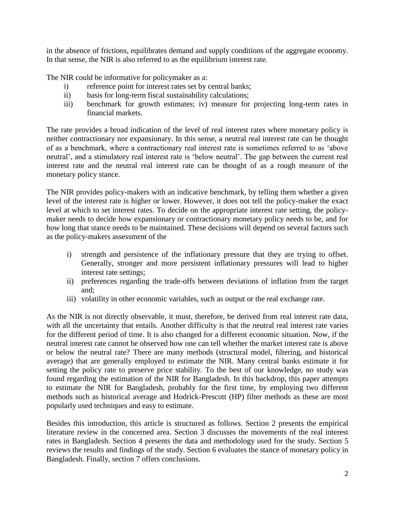in the absence of frictions, equilibrates demand and supply conditions of the aggregate economy. In that sense, the NIR is also referred to as the equilibrium interest rate.

The NIR could be informative for policymaker as a:

- i) reference point for interest rates set by central banks;
- ii) basis for long-term fiscal sustainability calculations;
- iii) benchmark for growth estimates; iv) measure for projecting long-term rates in financial markets.

The rate provides a broad indication of the level of real interest rates where monetary policy is neither contractionary nor expansionary. In this sense, a neutral real interest rate can be thought of as a benchmark, where a contractionary real interest rate is sometimes referred to as "above neutral', and a stimulatory real interest rate is 'below neutral'. The gap between the current real interest rate and the neutral real interest rate can be thought of as a rough measure of the monetary policy stance.

The NIR provides policy-makers with an indicative benchmark, by telling them whether a given level of the interest rate is higher or lower. However, it does not tell the policy-maker the exact level at which to set interest rates. To decide on the appropriate interest rate setting, the policymaker needs to decide how expansionary or contractionary monetary policy needs to be, and for how long that stance needs to be maintained. These decisions will depend on several factors such as the policy-makers assessment of the

- i) strength and persistence of the inflationary pressure that they are trying to offset. Generally, stronger and more persistent inflationary pressures will lead to higher interest rate settings;
- ii) preferences regarding the trade-offs between deviations of inflation from the target and;
- iii) volatility in other economic variables, such as output or the real exchange rate.

As the NIR is not directly observable, it must, therefore, be derived from real interest rate data, with all the uncertainty that entails. Another difficulty is that the neutral real interest rate varies for the different period of time. It is also changed for a different economic situation. Now, if the neutral interest rate cannot be observed how one can tell whether the market interest rate is above or below the neutral rate? There are many methods (structural model, filtering, and historical average) that are generally employed to estimate the NIR. Many central banks estimate it for setting the policy rate to preserve price stability. To the best of our knowledge, no study was found regarding the estimation of the NIR for Bangladesh. In this backdrop, this paper attempts to estimate the NIR for Bangladesh, probably for the first time, by employing two different methods such as historical average and Hodrick-Prescott (HP) filter methods as these are most popularly used techniques and easy to estimate.

Besides this introduction, this article is structured as follows. Section 2 presents the empirical literature review in the concerned area. Section 3 discusses the movements of the real interest rates in Bangladesh. Section 4 presents the data and methodology used for the study. Section 5 reviews the results and findings of the study. Section 6 evaluates the stance of monetary policy in Bangladesh. Finally, section 7 offers conclusions.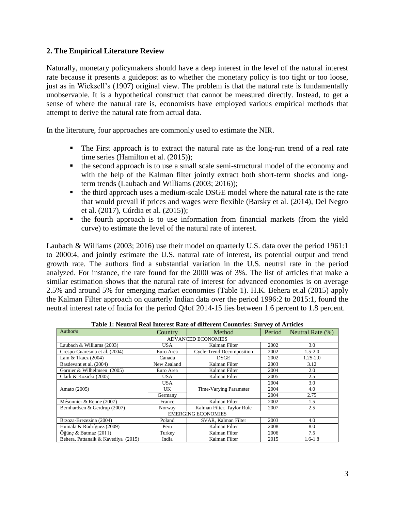# **2. The Empirical Literature Review**

Naturally, monetary policymakers should have a deep interest in the level of the natural interest rate because it presents a guidepost as to whether the monetary policy is too tight or too loose, just as in Wicksell's (1907) original view. The problem is that the natural rate is fundamentally unobservable. It is a hypothetical construct that cannot be measured directly. Instead, to get a sense of where the natural rate is, economists have employed various empirical methods that attempt to derive the natural rate from actual data.

In the literature, four approaches are commonly used to estimate the NIR.

- The First approach is to extract the natural rate as the long-run trend of a real rate time series (Hamilton et al.  $(2015)$ );
- the second approach is to use a small scale semi-structural model of the economy and with the help of the Kalman filter jointly extract both short-term shocks and longterm trends (Laubach and Williams (2003; 2016));
- the third approach uses a medium-scale DSGE model where the natural rate is the rate that would prevail if prices and wages were flexible (Barsky et al. (2014), Del Negro et al. (2017), Cúrdia et al. (2015));
- the fourth approach is to use information from financial markets (from the yield curve) to estimate the level of the natural rate of interest.

Laubach & Williams (2003; 2016) use their model on quarterly U.S. data over the period 1961:1 to 2000:4, and jointly estimate the U.S. natural rate of interest, its potential output and trend growth rate. The authors find a substantial variation in the U.S. neutral rate in the period analyzed. For instance, the rate found for the 2000 was of 3%. The list of articles that make a similar estimation shows that the natural rate of interest for advanced economies is on average 2.5% and around 5% for emerging market economies (Table 1). H.K. Behera et.al (2015) apply the Kalman Filter approach on quarterly Indian data over the period 1996:2 to 2015:1, found the neutral interest rate of India for the period Q4of 2014-15 lies between 1.6 percent to 1.8 percent.

| Table 1: Neutral Real Interest Rate of different Countries: Survey of Articles |             |                            |        |                     |  |  |  |  |
|--------------------------------------------------------------------------------|-------------|----------------------------|--------|---------------------|--|--|--|--|
| Author/ $s$                                                                    | Country     | Method                     | Period | Neutral Rate $(\%)$ |  |  |  |  |
| <b>ADVANCED ECONOMIES</b>                                                      |             |                            |        |                     |  |  |  |  |
| Laubach & Williams (2003)                                                      | <b>USA</b>  | Kalman Filter              | 2002   | 3.0                 |  |  |  |  |
| Crespo-Cuaresma et al. (2004)                                                  | Euro Area   | Cycle-Trend Decomposition  | 2002   | $1.5 - 2.0$         |  |  |  |  |
| Lam & Tkacz (2004)                                                             | Canada      | <b>DSGE</b>                | 2002   | $1.25 - 2.0$        |  |  |  |  |
| Basdevant et al. (2004)                                                        | New Zealand | Kalman Filter              | 2003   | 3.12                |  |  |  |  |
| Garnier & Wilhelmsen (2005)                                                    | Euro Area   | Kalman Filter              | 2004   | 2.0                 |  |  |  |  |
| Clark & Kozicki (2005)                                                         | <b>USA</b>  | Kalman Filter              | 2005   | 2.5                 |  |  |  |  |
| Amato (2005)                                                                   | <b>USA</b>  | Time-Varying Parameter     | 2004   | 3.0                 |  |  |  |  |
|                                                                                | UK.         |                            | 2004   | 4.0                 |  |  |  |  |
|                                                                                | Germany     |                            | 2004   | 2.75                |  |  |  |  |
| Mésonnier & Renne (2007)                                                       | France      | Kalman Filter              | 2002   | 1.5                 |  |  |  |  |
| Bernhardsen & Gerdrup (2007)                                                   | Norway      | Kalman Filter, Taylor Rule | 2007   | 2.5                 |  |  |  |  |
| <b>EMERGING ECONOMIES</b>                                                      |             |                            |        |                     |  |  |  |  |
| Brzoza-Brezezina (2004)                                                        | Poland      | SVAR, Kalman Filter        | 2003   | 4.0                 |  |  |  |  |
| Humala & Rodríguez (2009)                                                      | Peru        | Kalman Filter              | 2008   | 8.0                 |  |  |  |  |
| Öğünç & Batmaz $(2011)$                                                        | Turkey      | Kalman Filter              | 2006   | 7.5                 |  |  |  |  |
| Behera, Pattanaik & Kavediya (2015)                                            | India       | Kalman Filter              | 2015   | $1.6 - 1.8$         |  |  |  |  |

**Table 1: Neutral Real Interest Rate of different Countries: Survey of Articles**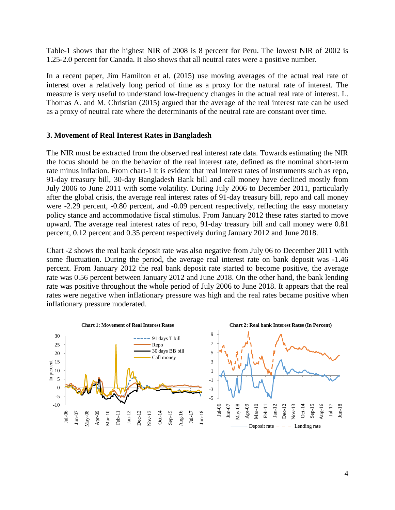Table-1 shows that the highest NIR of 2008 is 8 percent for Peru. The lowest NIR of 2002 is 1.25-2.0 percent for Canada. It also shows that all neutral rates were a positive number.

In a recent paper, [Jim Hamilton](http://econweb.ucsd.edu/~jhamilto/USMPF_2015.pdf) et al. (2015) use moving averages of the actual real rate of interest over a relatively long period of time as a proxy for the natural rate of interest. The measure is very useful to understand low-frequency changes in the actual real rate of interest. L. Thomas A. and M. Christian (2015) argued that the average of the real interest rate can be used as a proxy of neutral rate where the determinants of the neutral rate are constant over time.

## **3. Movement of Real Interest Rates in Bangladesh**

The NIR must be extracted from the observed real interest rate data. Towards estimating the NIR the focus should be on the behavior of the real interest rate, defined as the nominal short-term rate minus inflation. From chart-1 it is evident that real interest rates of instruments such as repo, 91-day treasury bill, 30-day Bangladesh Bank bill and call money have declined mostly from July 2006 to June 2011 with some volatility. During July 2006 to December 2011, particularly after the global crisis, the average real interest rates of 91-day treasury bill, repo and call money were -2.29 percent, -0.80 percent, and -0.09 percent respectively, reflecting the easy monetary policy stance and accommodative fiscal stimulus. From January 2012 these rates started to move upward. The average real interest rates of repo, 91-day treasury bill and call money were 0.81 percent, 0.12 percent and 0.35 percent respectively during January 2012 and June 2018.

Chart -2 shows the real bank deposit rate was also negative from July 06 to December 2011 with some fluctuation. During the period, the average real interest rate on bank deposit was -1.46 percent. From January 2012 the real bank deposit rate started to become positive, the average rate was 0.56 percent between January 2012 and June 2018. On the other hand, the bank lending rate was positive throughout the whole period of July 2006 to June 2018. It appears that the real rates were negative when inflationary pressure was high and the real rates became positive when inflationary pressure moderated.

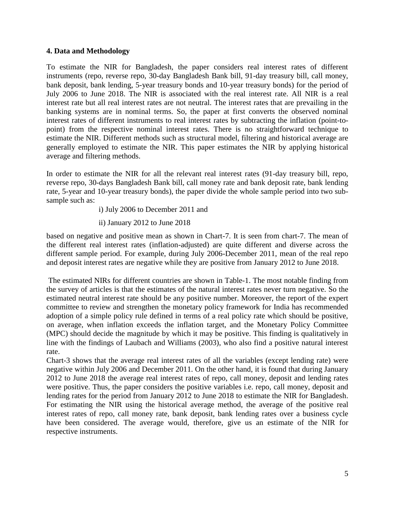# **4. Data and Methodology**

To estimate the NIR for Bangladesh, the paper considers real interest rates of different instruments (repo, reverse repo, 30-day Bangladesh Bank bill, 91-day treasury bill, call money, bank deposit, bank lending, 5-year treasury bonds and 10-year treasury bonds) for the period of July 2006 to June 2018. The NIR is associated with the real interest rate. All NIR is a real interest rate but all real interest rates are not neutral. The interest rates that are prevailing in the banking systems are in nominal terms. So, the paper at first converts the observed nominal interest rates of different instruments to real interest rates by subtracting the inflation (point-topoint) from the respective nominal interest rates. There is no straightforward technique to estimate the NIR. Different methods such as structural model, filtering and historical average are generally employed to estimate the NIR. This paper estimates the NIR by applying historical average and filtering methods.

In order to estimate the NIR for all the relevant real interest rates (91-day treasury bill, repo, reverse repo, 30-days Bangladesh Bank bill, call money rate and bank deposit rate, bank lending rate, 5-year and 10-year treasury bonds), the paper divide the whole sample period into two subsample such as:

i) July 2006 to December 2011 and

ii) January 2012 to June 2018

based on negative and positive mean as shown in Chart-7. It is seen from chart-7. The mean of the different real interest rates (inflation-adjusted) are quite different and diverse across the different sample period. For example, during July 2006-December 2011, mean of the real repo and deposit interest rates are negative while they are positive from January 2012 to June 2018.

The estimated NIRs for different countries are shown in Table-1. The most notable finding from the survey of articles is that the estimates of the natural interest rates never turn negative. So the estimated neutral interest rate should be any positive number. Moreover, the report of the expert committee to review and strengthen the monetary policy framework for India has recommended adoption of a simple policy rule defined in terms of a real policy rate which should be positive, on average, when inflation exceeds the inflation target, and the Monetary Policy Committee (MPC) should decide the magnitude by which it may be positive. This finding is qualitatively in line with the findings of Laubach and Williams (2003), who also find a positive natural interest rate.

Chart-3 shows that the average real interest rates of all the variables (except lending rate) were negative within July 2006 and December 2011. On the other hand, it is found that during January 2012 to June 2018 the average real interest rates of repo, call money, deposit and lending rates were positive. Thus, the paper considers the positive variables i.e. repo, call money, deposit and lending rates for the period from January 2012 to June 2018 to estimate the NIR for Bangladesh. For estimating the NIR using the historical average method, the average of the positive real interest rates of repo, call money rate, bank deposit, bank lending rates over a business cycle have been considered. The average would, therefore, give us an estimate of the NIR for respective instruments.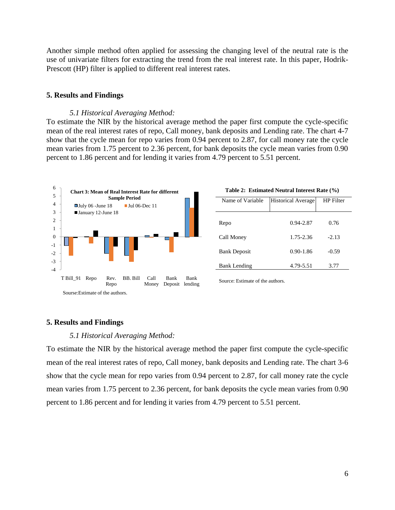Another simple method often applied for assessing the changing level of the neutral rate is the use of univariate filters for extracting the trend from the real interest rate. In this paper, Hodrik-Prescott (HP) filter is applied to different real interest rates.

## **5. Results and Findings**

#### *5.1 Historical Averaging Method:*

To estimate the NIR by the historical average method the paper first compute the cycle-specific mean of the real interest rates of repo, Call money, bank deposits and Lending rate. The chart 4-7 show that the cycle mean for repo varies from 0.94 percent to 2.87, for call money rate the cycle mean varies from 1.75 percent to 2.36 percent, for bank deposits the cycle mean varies from 0.90 percent to 1.86 percent and for lending it varies from 4.79 percent to 5.51 percent.



| Table 2: Estimated Neutral Interest Rate (%) |  |  |  |
|----------------------------------------------|--|--|--|
|----------------------------------------------|--|--|--|

| Name of Variable    | <b>Historical Average</b> | HP Filter |
|---------------------|---------------------------|-----------|
| Repo                | 0.94-2.87                 | 0.76      |
| Call Money          | 1.75-2.36                 | $-2.13$   |
| <b>Bank Deposit</b> | $0.90 - 1.86$             | $-0.59$   |
| <b>Bank Lending</b> | 4.79-5.51                 | 3.77      |

Source: Estimate of the authors.

## **5. Results and Findings**

#### *5.1 Historical Averaging Method:*

To estimate the NIR by the historical average method the paper first compute the cycle-specific mean of the real interest rates of repo, Call money, bank deposits and Lending rate. The chart 3-6 show that the cycle mean for repo varies from 0.94 percent to 2.87, for call money rate the cycle mean varies from 1.75 percent to 2.36 percent, for bank deposits the cycle mean varies from 0.90 percent to 1.86 percent and for lending it varies from 4.79 percent to 5.51 percent.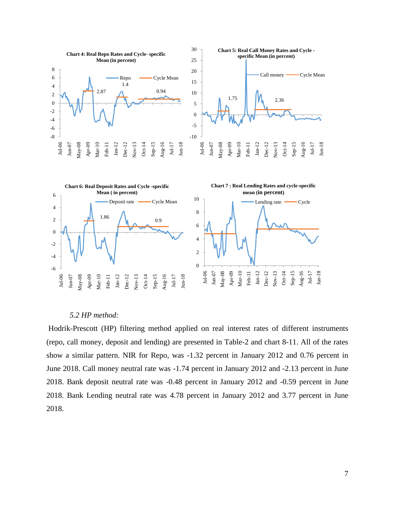

#### *5.2 HP method:*

Hodrik-Prescott (HP) filtering method applied on real interest rates of different instruments (repo, call money, deposit and lending) are presented in Table-2 and chart 8-11. All of the rates show a similar pattern. NIR for Repo, was -1.32 percent in January 2012 and 0.76 percent in June 2018. Call money neutral rate was -1.74 percent in January 2012 and -2.13 percent in June 2018. Bank deposit neutral rate was -0.48 percent in January 2012 and -0.59 percent in June 2018. Bank Lending neutral rate was 4.78 percent in January 2012 and 3.77 percent in June 2018.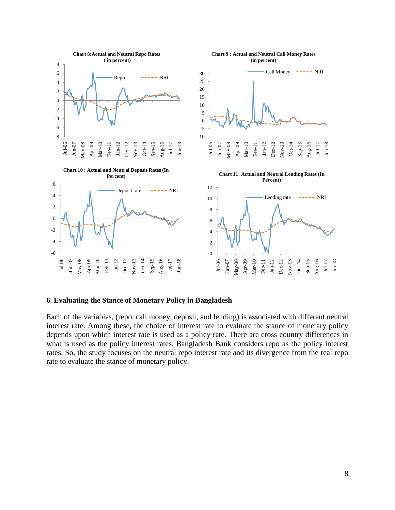

## **6. Evaluating the Stance of Monetary Policy in Bangladesh**

Each of the variables, (repo, call money, deposit, and lending) is associated with different neutral interest rate. Among these, the choice of interest rate to evaluate the stance of monetary policy depends upon which interest rate is used as a policy rate. There are cross country differences in what is used as the policy interest rates. Bangladesh Bank considers repo as the policy interest rates. So, the study focuses on the neutral repo interest rate and its divergence from the real repo rate to evaluate the stance of monetary policy.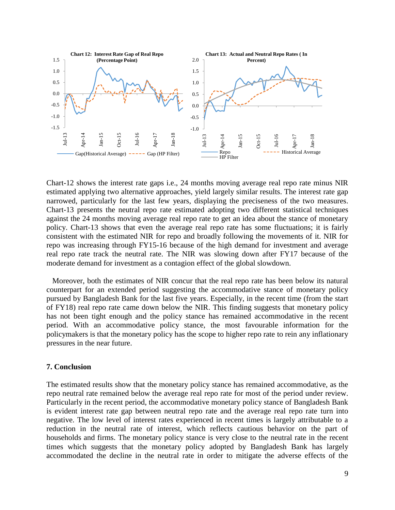

Chart-12 shows the interest rate gaps i.e., 24 months moving average real repo rate minus NIR estimated applying two alternative approaches, yield largely similar results. The interest rate gap narrowed, particularly for the last few years, displaying the preciseness of the two measures. Chart-13 presents the neutral repo rate estimated adopting two different statistical techniques against the 24 months moving average real repo rate to get an idea about the stance of monetary policy. Chart-13 shows that even the average real repo rate has some fluctuations; it is fairly consistent with the estimated NIR for repo and broadly following the movements of it. NIR for repo was increasing through FY15-16 because of the high demand for investment and average real repo rate track the neutral rate. The NIR was slowing down after FY17 because of the moderate demand for investment as a contagion effect of the global slowdown.

Moreover, both the estimates of NIR concur that the real repo rate has been below its natural counterpart for an extended period suggesting the accommodative stance of monetary policy pursued by Bangladesh Bank for the last five years. Especially, in the recent time (from the start of FY18) real repo rate came down below the NIR. This finding suggests that monetary policy has not been tight enough and the policy stance has remained accommodative in the recent period. With an accommodative policy stance, the most favourable information for the policymakers is that the monetary policy has the scope to higher repo rate to rein any inflationary pressures in the near future.

### **7. Conclusion**

The estimated results show that the monetary policy stance has remained accommodative, as the repo neutral rate remained below the average real repo rate for most of the period under review. Particularly in the recent period, the accommodative monetary policy stance of Bangladesh Bank is evident interest rate gap between neutral repo rate and the average real repo rate turn into negative. The low level of interest rates experienced in recent times is largely attributable to a reduction in the neutral rate of interest, which reflects cautious behavior on the part of households and firms. The monetary policy stance is very close to the neutral rate in the recent times which suggests that the monetary policy adopted by Bangladesh Bank has largely accommodated the decline in the neutral rate in order to mitigate the adverse effects of the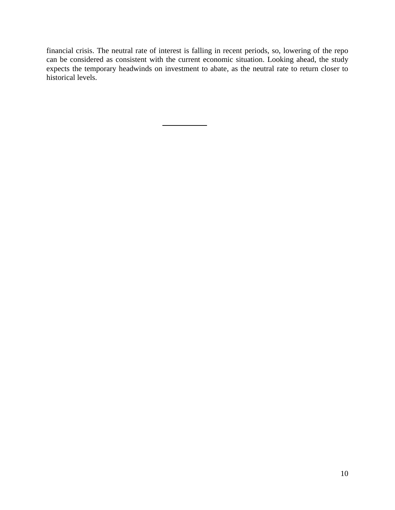financial crisis. The neutral rate of interest is falling in recent periods, so, lowering of the repo can be considered as consistent with the current economic situation. Looking ahead, the study expects the temporary headwinds on investment to abate, as the neutral rate to return closer to historical levels.